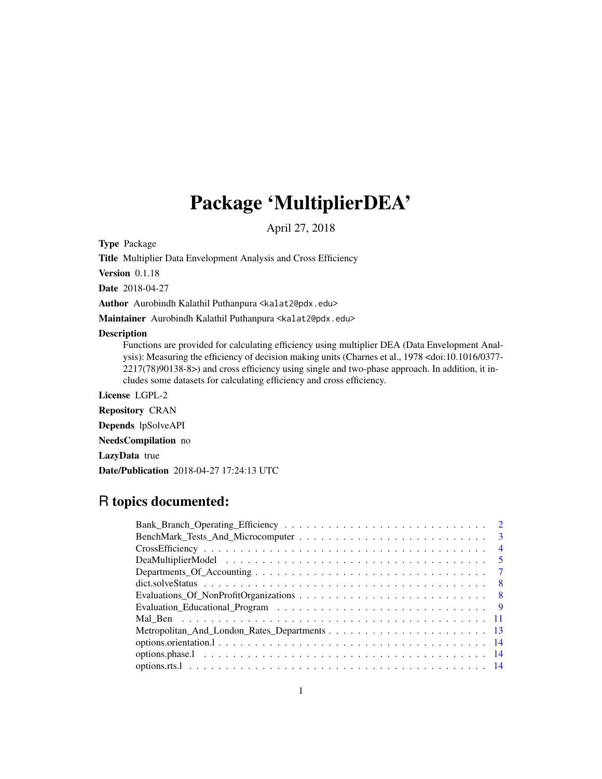# Package 'MultiplierDEA'

April 27, 2018

Type Package

Title Multiplier Data Envelopment Analysis and Cross Efficiency

Version 0.1.18

Date 2018-04-27

Author Aurobindh Kalathil Puthanpura <kalat2@pdx.edu>

Maintainer Aurobindh Kalathil Puthanpura <kalat2@pdx.edu>

# Description

Functions are provided for calculating efficiency using multiplier DEA (Data Envelopment Analysis): Measuring the efficiency of decision making units (Charnes et al., 1978 <doi:10.1016/0377- 2217(78)90138-8>) and cross efficiency using single and two-phase approach. In addition, it includes some datasets for calculating efficiency and cross efficiency.

License LGPL-2

Repository CRAN

Depends lpSolveAPI

NeedsCompilation no

LazyData true

Date/Publication 2018-04-27 17:24:13 UTC

# R topics documented:

| $\overline{4}$                                                                                                        |
|-----------------------------------------------------------------------------------------------------------------------|
| -5                                                                                                                    |
|                                                                                                                       |
| $dict. solve Status \dots \dots \dots \dots \dots \dots \dots \dots \dots \dots \dots \dots \dots \dots \dots$<br>- 8 |
|                                                                                                                       |
|                                                                                                                       |
|                                                                                                                       |
|                                                                                                                       |
|                                                                                                                       |
|                                                                                                                       |
|                                                                                                                       |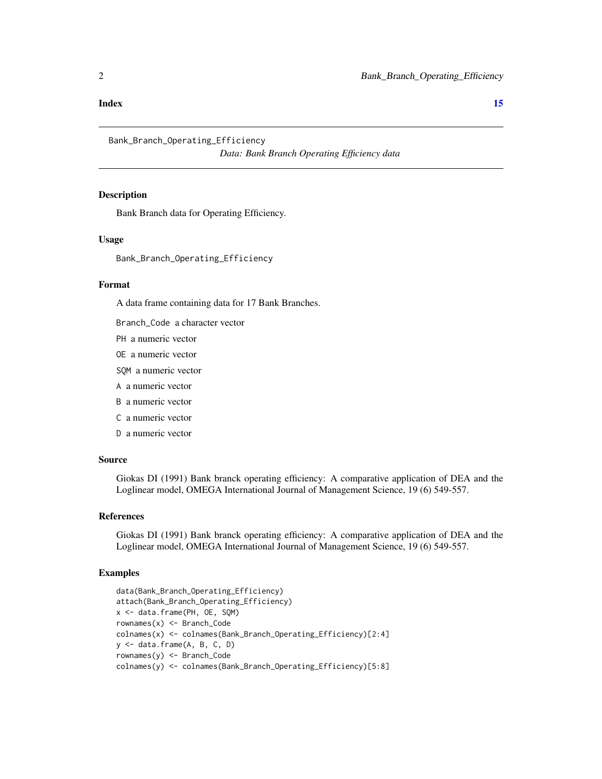#### <span id="page-1-0"></span>**Index** [15](#page-14-0)

Bank\_Branch\_Operating\_Efficiency

*Data: Bank Branch Operating Efficiency data*

# Description

Bank Branch data for Operating Efficiency.

# Usage

Bank\_Branch\_Operating\_Efficiency

#### Format

A data frame containing data for 17 Bank Branches.

Branch\_Code a character vector

PH a numeric vector

OE a numeric vector

SQM a numeric vector

A a numeric vector

B a numeric vector

C a numeric vector

D a numeric vector

# Source

Giokas DI (1991) Bank branck operating efficiency: A comparative application of DEA and the Loglinear model, OMEGA International Journal of Management Science, 19 (6) 549-557.

#### References

Giokas DI (1991) Bank branck operating efficiency: A comparative application of DEA and the Loglinear model, OMEGA International Journal of Management Science, 19 (6) 549-557.

# Examples

```
data(Bank_Branch_Operating_Efficiency)
attach(Bank_Branch_Operating_Efficiency)
x <- data.frame(PH, OE, SQM)
rownames(x) <- Branch_Code
colnames(x) <- colnames(Bank_Branch_Operating_Efficiency)[2:4]
y <- data.frame(A, B, C, D)
rownames(y) <- Branch_Code
colnames(y) <- colnames(Bank_Branch_Operating_Efficiency)[5:8]
```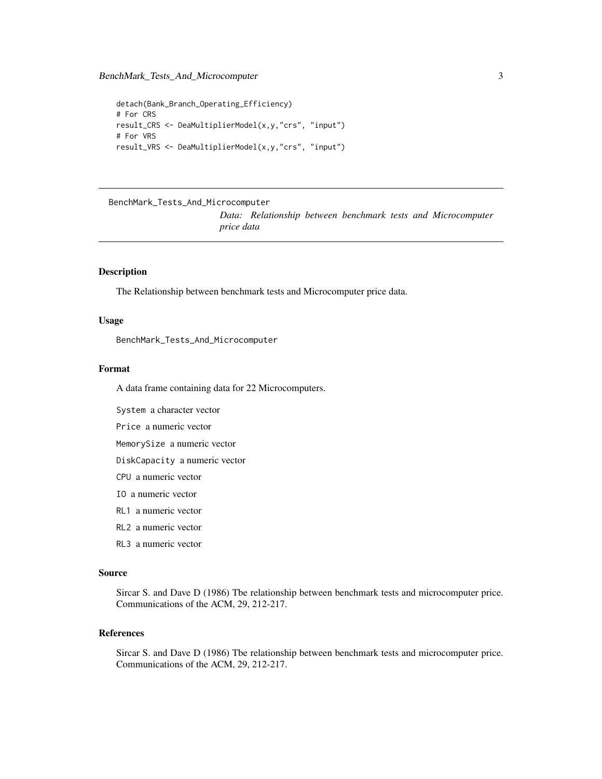```
detach(Bank_Branch_Operating_Efficiency)
# For CRS
result_CRS <- DeaMultiplierModel(x,y,"crs", "input")
# For VRS
result_VRS <- DeaMultiplierModel(x,y,"crs", "input")
```

```
BenchMark_Tests_And_Microcomputer
```
*Data: Relationship between benchmark tests and Microcomputer price data*

#### Description

The Relationship between benchmark tests and Microcomputer price data.

# Usage

BenchMark\_Tests\_And\_Microcomputer

#### Format

A data frame containing data for 22 Microcomputers.

System a character vector

Price a numeric vector

MemorySize a numeric vector

DiskCapacity a numeric vector

- CPU a numeric vector
- IO a numeric vector
- RL1 a numeric vector
- RL2 a numeric vector
- RL3 a numeric vector

#### Source

Sircar S. and Dave D (1986) Tbe relationship between benchmark tests and microcomputer price. Communications of the ACM, 29, 212-217.

#### References

Sircar S. and Dave D (1986) Tbe relationship between benchmark tests and microcomputer price. Communications of the ACM, 29, 212-217.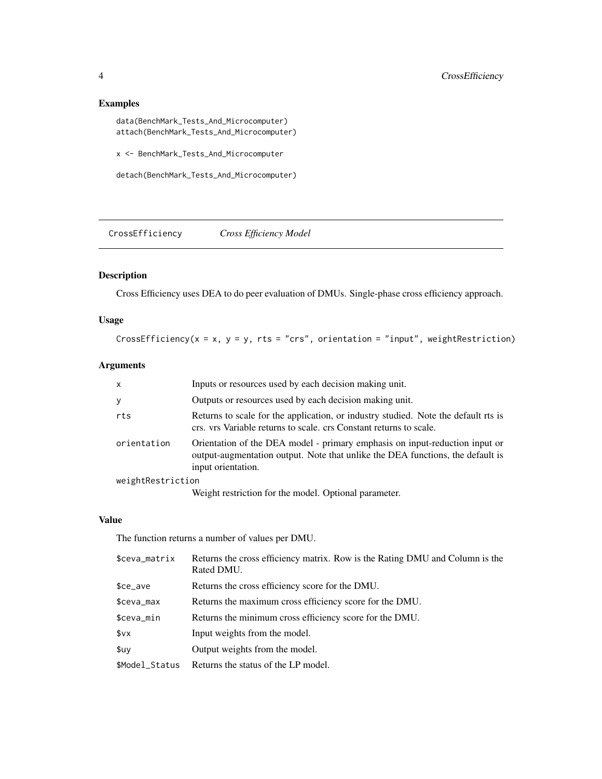# <span id="page-3-0"></span>Examples

data(BenchMark\_Tests\_And\_Microcomputer) attach(BenchMark\_Tests\_And\_Microcomputer)

x <- BenchMark\_Tests\_And\_Microcomputer

detach(BenchMark\_Tests\_And\_Microcomputer)

CrossEfficiency *Cross Efficiency Model*

# Description

Cross Efficiency uses DEA to do peer evaluation of DMUs. Single-phase cross efficiency approach.

# Usage

CrossEfficiency( $x = x$ ,  $y = y$ , rts = "crs", orientation = "input", weightRestriction)

# Arguments

| $\mathsf{x}$      | Inputs or resources used by each decision making unit.                                                                                                                              |
|-------------------|-------------------------------------------------------------------------------------------------------------------------------------------------------------------------------------|
| y                 | Outputs or resources used by each decision making unit.                                                                                                                             |
| rts               | Returns to scale for the application, or industry studied. Note the default rts is<br>crs. vrs Variable returns to scale. crs Constant returns to scale.                            |
| orientation       | Orientation of the DEA model - primary emphasis on input-reduction input or<br>output-augmentation output. Note that unlike the DEA functions, the default is<br>input orientation. |
| weightRestriction |                                                                                                                                                                                     |
|                   | $\mathbf{W}$ . The construction of each constant $\mathbf{Q}$ at each $\mathbf{I}$                                                                                                  |

Weight restriction for the model. Optional parameter.

# Value

The function returns a number of values per DMU.

| Returns the cross efficiency score for the DMU.<br>$$ce_ave$<br>Returns the maximum cross efficiency score for the DMU.<br>$$ceva_max$<br>Returns the minimum cross efficiency score for the DMU.<br>\$ceva_min<br>\$vx<br>Input weights from the model.<br>Output weights from the model.<br>\$uv<br>\$Model Status<br>Returns the status of the LP model. | \$ceva_matrix | Returns the cross efficiency matrix. Row is the Rating DMU and Column is the<br>Rated DMU. |
|-------------------------------------------------------------------------------------------------------------------------------------------------------------------------------------------------------------------------------------------------------------------------------------------------------------------------------------------------------------|---------------|--------------------------------------------------------------------------------------------|
|                                                                                                                                                                                                                                                                                                                                                             |               |                                                                                            |
|                                                                                                                                                                                                                                                                                                                                                             |               |                                                                                            |
|                                                                                                                                                                                                                                                                                                                                                             |               |                                                                                            |
|                                                                                                                                                                                                                                                                                                                                                             |               |                                                                                            |
|                                                                                                                                                                                                                                                                                                                                                             |               |                                                                                            |
|                                                                                                                                                                                                                                                                                                                                                             |               |                                                                                            |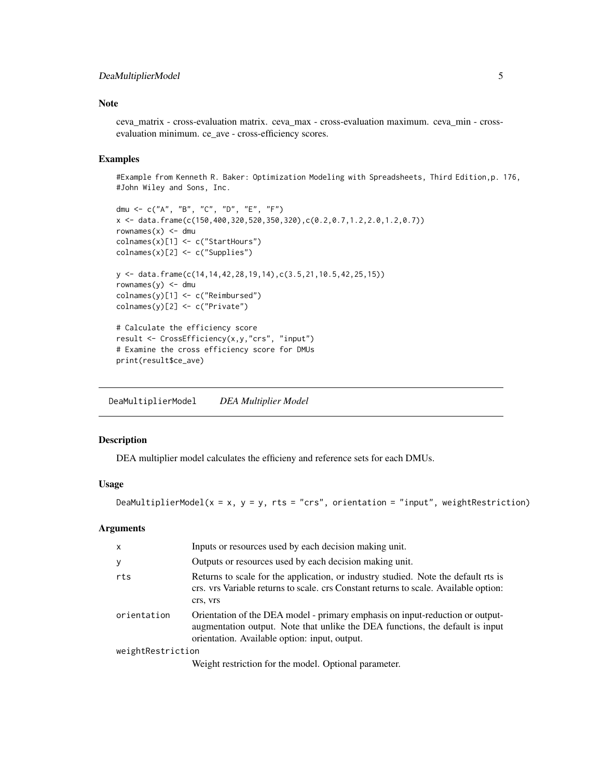# <span id="page-4-0"></span>DeaMultiplierModel 5

# Note

ceva\_matrix - cross-evaluation matrix. ceva\_max - cross-evaluation maximum. ceva\_min - crossevaluation minimum. ce\_ave - cross-efficiency scores.

#### Examples

#Example from Kenneth R. Baker: Optimization Modeling with Spreadsheets, Third Edition,p. 176, #John Wiley and Sons, Inc.

```
dmu <- c("A", "B", "C", "D", "E", "F")
x <- data.frame(c(150,400,320,520,350,320),c(0.2,0.7,1.2,2.0,1.2,0.7))
rownames(x) <- dmu
colnames(x)[1] <- c("StartHours")
colnames(x)[2] <- c("Supplies")
y <- data.frame(c(14,14,42,28,19,14),c(3.5,21,10.5,42,25,15))
rownames(y) <- dmu
colnames(y)[1] <- c("Reimbursed")
colnames(y)[2] <- c("Private")
# Calculate the efficiency score
result <- CrossEfficiency(x,y,"crs", "input")
# Examine the cross efficiency score for DMUs
print(result$ce_ave)
```
DeaMultiplierModel *DEA Multiplier Model*

#### Description

DEA multiplier model calculates the efficieny and reference sets for each DMUs.

#### Usage

DeaMultiplierModel( $x = x$ ,  $y = y$ , rts = "crs", orientation = "input", weightRestriction)

#### **Arguments**

| $\mathsf{x}$      | Inputs or resources used by each decision making unit.                                                                                                                                                          |
|-------------------|-----------------------------------------------------------------------------------------------------------------------------------------------------------------------------------------------------------------|
| У                 | Outputs or resources used by each decision making unit.                                                                                                                                                         |
| rts               | Returns to scale for the application, or industry studied. Note the default rts is<br>crs. vrs Variable returns to scale. crs Constant returns to scale. Available option:<br>crs, vrs                          |
| orientation       | Orientation of the DEA model - primary emphasis on input-reduction or output-<br>augmentation output. Note that unlike the DEA functions, the default is input<br>orientation. Available option: input, output. |
| weightRestriction |                                                                                                                                                                                                                 |
|                   | Weight restriction for the model. Optional parameter.                                                                                                                                                           |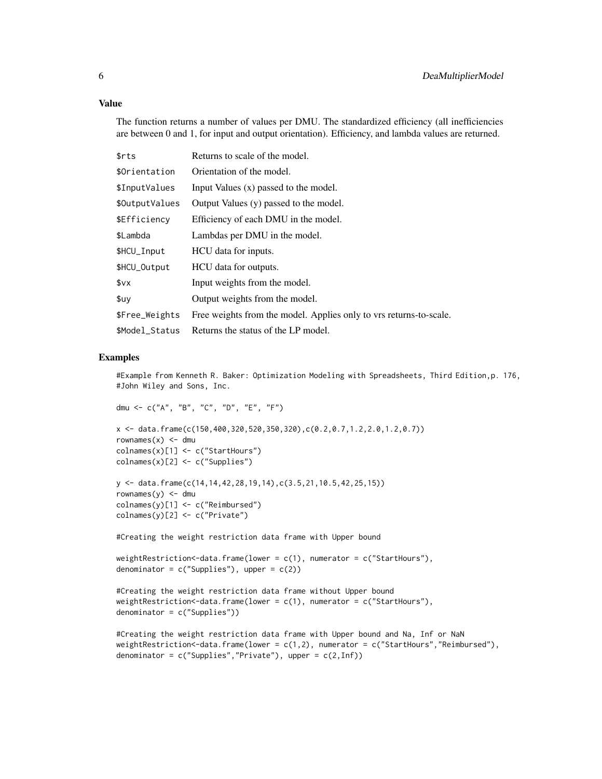# Value

The function returns a number of values per DMU. The standardized efficiency (all inefficiencies are between 0 and 1, for input and output orientation). Efficiency, and lambda values are returned.

| \$rts          | Returns to scale of the model.                                     |
|----------------|--------------------------------------------------------------------|
| \$Orientation  | Orientation of the model.                                          |
| \$InputValues  | Input Values $(x)$ passed to the model.                            |
| \$OutputValues | Output Values (y) passed to the model.                             |
| \$Efficiency   | Efficiency of each DMU in the model.                               |
| \$Lambda       | Lambdas per DMU in the model.                                      |
| \$HCU_Input    | HCU data for inputs.                                               |
| \$HCU_Output   | HCU data for outputs.                                              |
| \$vx           | Input weights from the model.                                      |
| \$uv           | Output weights from the model.                                     |
| \$Free_Weights | Free weights from the model. Applies only to vrs returns-to-scale. |
| \$Model_Status | Returns the status of the LP model.                                |

#### Examples

#Example from Kenneth R. Baker: Optimization Modeling with Spreadsheets, Third Edition,p. 176, #John Wiley and Sons, Inc.

```
dmu <- c("A", "B", "C", "D", "E", "F")
```

```
x <- data.frame(c(150,400,320,520,350,320),c(0.2,0.7,1.2,2.0,1.2,0.7))
rownames(x) <- dmu
colnames(x)[1] <- c("StartHours")
colnames(x)[2] <- c("Supplies")
```

```
y <- data.frame(c(14,14,42,28,19,14),c(3.5,21,10.5,42,25,15))
rownames(y) <- dmu
colnames(y)[1] <- c("Reimbursed")
colnames(y)[2] <- c("Private")
```
#Creating the weight restriction data frame with Upper bound

```
weightRestriction <- data.frame(lower = c(1), numerator = c("Start Hours"),denominator = c("Supplies"), upper = <math>c(2)</math>)
```

```
#Creating the weight restriction data frame without Upper bound
weightRestriction<-data.frame(lower = c(1), numerator = c("StartHours"),
denominator = c("Supplies"))
```

```
#Creating the weight restriction data frame with Upper bound and Na, Inf or NaN
weightRestriction <- data.frame(lower = c(1,2), numerator = c("StartHours","Reimbursed"),
denominator = c("Supplies", "Private"), upper = c(2,Inf))
```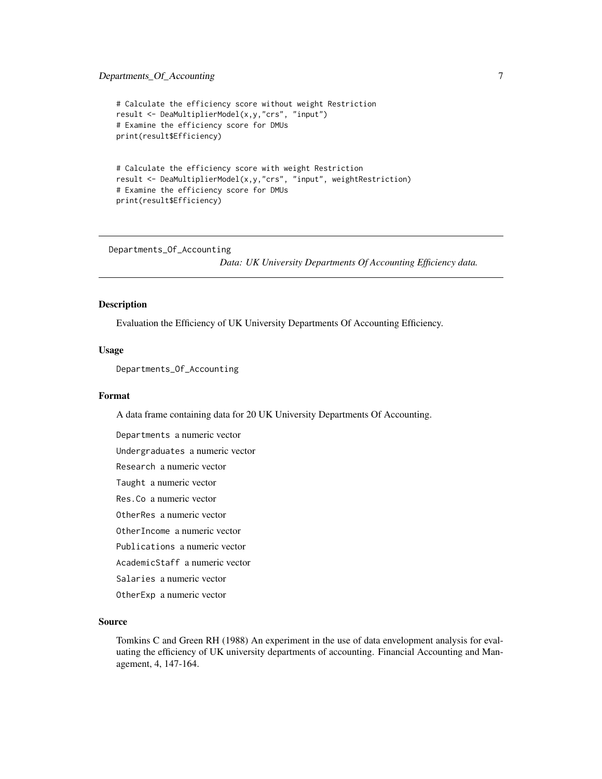# <span id="page-6-0"></span>Departments\_Of\_Accounting 7

```
# Calculate the efficiency score without weight Restriction
result <- DeaMultiplierModel(x,y,"crs", "input")
# Examine the efficiency score for DMUs
print(result$Efficiency)
```

```
# Calculate the efficiency score with weight Restriction
result <- DeaMultiplierModel(x,y,"crs", "input", weightRestriction)
# Examine the efficiency score for DMUs
print(result$Efficiency)
```
Departments\_Of\_Accounting

*Data: UK University Departments Of Accounting Efficiency data.*

#### Description

Evaluation the Efficiency of UK University Departments Of Accounting Efficiency.

#### Usage

Departments\_Of\_Accounting

# Format

A data frame containing data for 20 UK University Departments Of Accounting.

Departments a numeric vector Undergraduates a numeric vector Research a numeric vector Taught a numeric vector Res.Co a numeric vector OtherRes a numeric vector OtherIncome a numeric vector Publications a numeric vector AcademicStaff a numeric vector Salaries a numeric vector OtherExp a numeric vector

# Source

Tomkins C and Green RH (1988) An experiment in the use of data envelopment analysis for evaluating the efficiency of UK university departments of accounting. Financial Accounting and Management, 4, 147-164.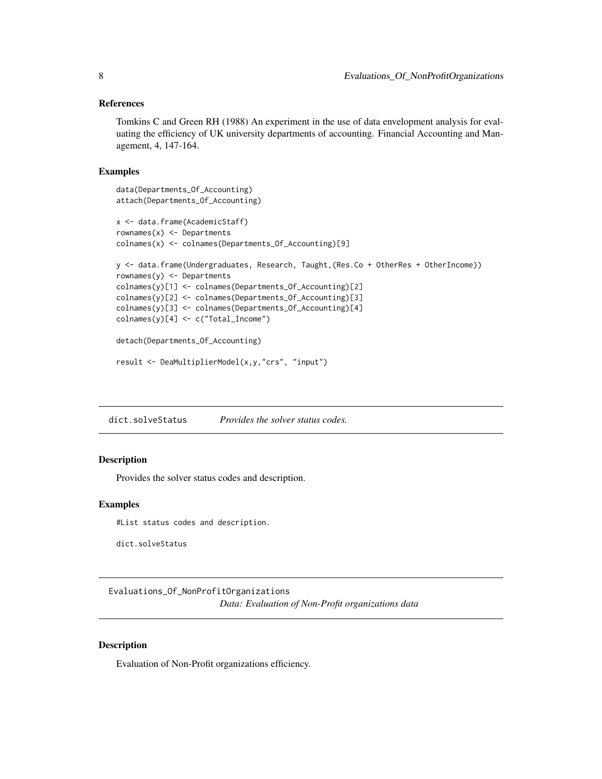# <span id="page-7-0"></span>References

Tomkins C and Green RH (1988) An experiment in the use of data envelopment analysis for evaluating the efficiency of UK university departments of accounting. Financial Accounting and Management, 4, 147-164.

#### Examples

```
data(Departments_Of_Accounting)
attach(Departments_Of_Accounting)
x <- data.frame(AcademicStaff)
rownames(x) <- Departments
colnames(x) <- colnames(Departments_Of_Accounting)[9]
y <- data.frame(Undergraduates, Research, Taught,(Res.Co + OtherRes + OtherIncome))
rownames(y) <- Departments
colnames(y)[1] <- colnames(Departments_Of_Accounting)[2]
colnames(y)[2] <- colnames(Departments_Of_Accounting)[3]
colnames(y)[3] <- colnames(Departments_Of_Accounting)[4]
colnames(y)[4] <- c("Total_Income")
detach(Departments_Of_Accounting)
```

```
result <- DeaMultiplierModel(x,y,"crs", "input")
```
dict.solveStatus *Provides the solver status codes.*

# Description

Provides the solver status codes and description.

# Examples

#List status codes and description.

dict.solveStatus

Evaluations\_Of\_NonProfitOrganizations *Data: Evaluation of Non-Profit organizations data*

# Description

Evaluation of Non-Profit organizations efficiency.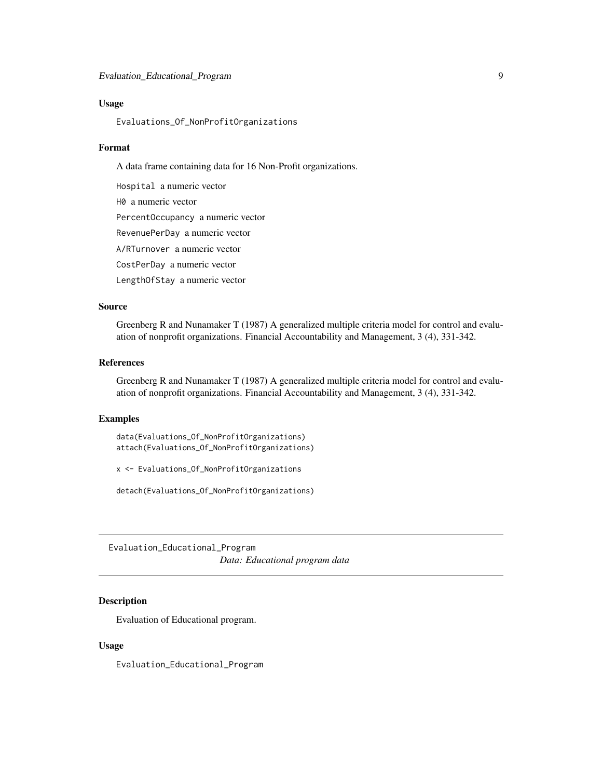## <span id="page-8-0"></span>Usage

Evaluations\_Of\_NonProfitOrganizations

#### Format

A data frame containing data for 16 Non-Profit organizations.

Hospital a numeric vector H0 a numeric vector PercentOccupancy a numeric vector RevenuePerDay a numeric vector A/RTurnover a numeric vector CostPerDay a numeric vector LengthOfStay a numeric vector

# Source

Greenberg R and Nunamaker T (1987) A generalized multiple criteria model for control and evaluation of nonprofit organizations. Financial Accountability and Management, 3 (4), 331-342.

# References

Greenberg R and Nunamaker T (1987) A generalized multiple criteria model for control and evaluation of nonprofit organizations. Financial Accountability and Management, 3 (4), 331-342.

# Examples

data(Evaluations\_Of\_NonProfitOrganizations) attach(Evaluations\_Of\_NonProfitOrganizations)

x <- Evaluations\_Of\_NonProfitOrganizations

detach(Evaluations\_Of\_NonProfitOrganizations)

Evaluation\_Educational\_Program *Data: Educational program data*

# Description

Evaluation of Educational program.

#### Usage

Evaluation\_Educational\_Program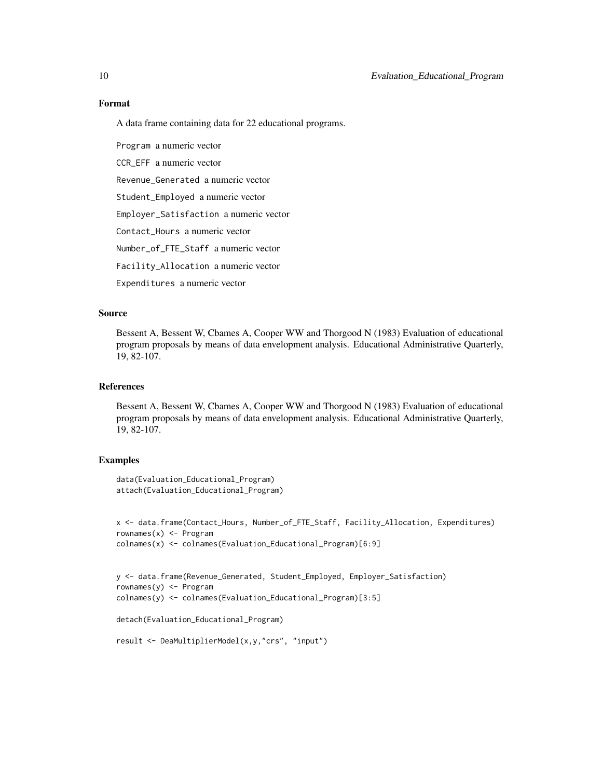# Format

A data frame containing data for 22 educational programs.

Program a numeric vector CCR\_EFF a numeric vector Revenue\_Generated a numeric vector Student\_Employed a numeric vector Employer\_Satisfaction a numeric vector Contact\_Hours a numeric vector Number\_of\_FTE\_Staff a numeric vector Facility\_Allocation a numeric vector Expenditures a numeric vector

# Source

Bessent A, Bessent W, Cbames A, Cooper WW and Thorgood N (1983) Evaluation of educational program proposals by means of data envelopment analysis. Educational Administrative Quarterly, 19, 82-107.

#### References

Bessent A, Bessent W, Cbames A, Cooper WW and Thorgood N (1983) Evaluation of educational program proposals by means of data envelopment analysis. Educational Administrative Quarterly, 19, 82-107.

# Examples

```
data(Evaluation_Educational_Program)
attach(Evaluation_Educational_Program)
```

```
x <- data.frame(Contact_Hours, Number_of_FTE_Staff, Facility_Allocation, Expenditures)
rownames(x) <- Program
colnames(x) <- colnames(Evaluation_Educational_Program)[6:9]
```

```
y <- data.frame(Revenue_Generated, Student_Employed, Employer_Satisfaction)
rownames(y) <- Program
colnames(y) <- colnames(Evaluation_Educational_Program)[3:5]
```

```
detach(Evaluation_Educational_Program)
```

```
result <- DeaMultiplierModel(x,y,"crs", "input")
```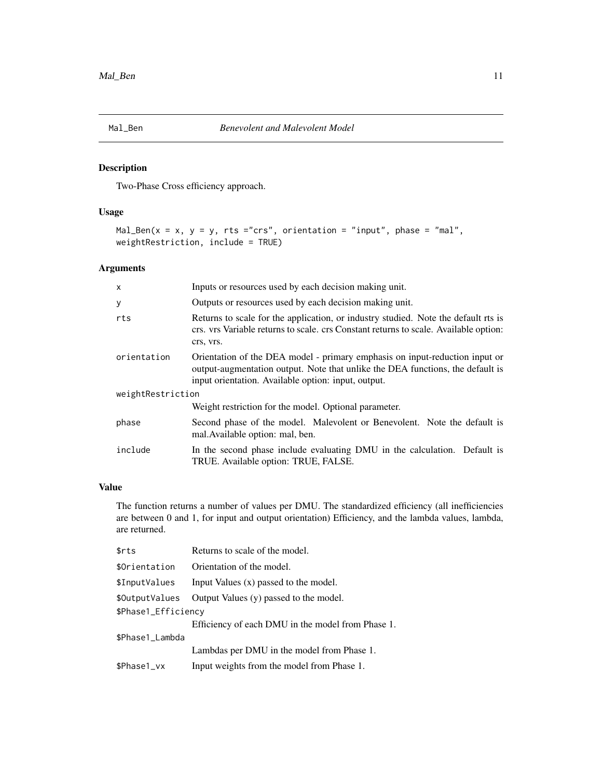<span id="page-10-0"></span>

# Description

Two-Phase Cross efficiency approach.

# Usage

```
Mal_Ben(x = x, y = y, rts ="crs", orientation = "input", phase = "mal",
weightRestriction, include = TRUE)
```
# Arguments

| X                 | Inputs or resources used by each decision making unit.                                                                                                                                                               |
|-------------------|----------------------------------------------------------------------------------------------------------------------------------------------------------------------------------------------------------------------|
| У                 | Outputs or resources used by each decision making unit.                                                                                                                                                              |
| rts               | Returns to scale for the application, or industry studied. Note the default rts is<br>crs. vrs Variable returns to scale. crs Constant returns to scale. Available option:<br>crs, vrs.                              |
| orientation       | Orientation of the DEA model - primary emphasis on input-reduction input or<br>output-augmentation output. Note that unlike the DEA functions, the default is<br>input orientation. Available option: input, output. |
| weightRestriction |                                                                                                                                                                                                                      |
|                   | Weight restriction for the model. Optional parameter.                                                                                                                                                                |
| phase             | Second phase of the model. Malevolent or Benevolent. Note the default is<br>mal. Available option: mal, ben.                                                                                                         |
| include           | In the second phase include evaluating DMU in the calculation. Default is<br>TRUE. Available option: TRUE, FALSE.                                                                                                    |

# Value

The function returns a number of values per DMU. The standardized efficiency (all inefficiencies are between 0 and 1, for input and output orientation) Efficiency, and the lambda values, lambda, are returned.

| \$rts               | Returns to scale of the model.                    |
|---------------------|---------------------------------------------------|
| \$Orientation       | Orientation of the model.                         |
| \$InputValues       | Input Values $(x)$ passed to the model.           |
| \$OutputValues      | Output Values (y) passed to the model.            |
| \$Phase1_Efficiency |                                                   |
|                     | Efficiency of each DMU in the model from Phase 1. |
| \$Phase1_Lambda     |                                                   |
|                     | Lambdas per DMU in the model from Phase 1.        |
| \$Phase1_vx         | Input weights from the model from Phase 1.        |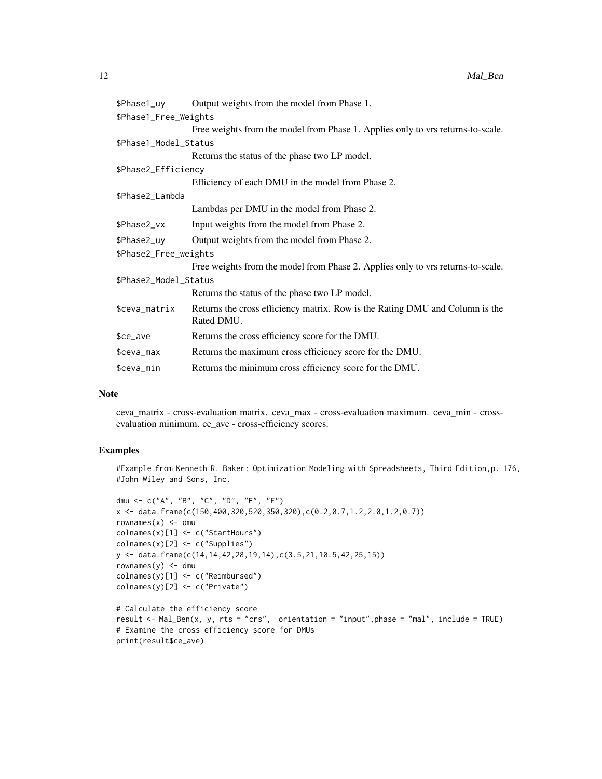| \$Phase1_uy           | Output weights from the model from Phase 1.                                                |  |
|-----------------------|--------------------------------------------------------------------------------------------|--|
| \$Phase1_Free_Weights |                                                                                            |  |
|                       | Free weights from the model from Phase 1. Applies only to vrs returns-to-scale.            |  |
| \$Phase1_Model_Status |                                                                                            |  |
|                       | Returns the status of the phase two LP model.                                              |  |
| \$Phase2_Efficiency   |                                                                                            |  |
|                       | Efficiency of each DMU in the model from Phase 2.                                          |  |
| \$Phase2_Lambda       |                                                                                            |  |
|                       | Lambdas per DMU in the model from Phase 2.                                                 |  |
| \$Phase2_vx           | Input weights from the model from Phase 2.                                                 |  |
| \$Phase2_uy           | Output weights from the model from Phase 2.                                                |  |
| \$Phase2_Free_weights |                                                                                            |  |
|                       | Free weights from the model from Phase 2. Applies only to vrs returns-to-scale.            |  |
| \$Phase2_Model_Status |                                                                                            |  |
|                       | Returns the status of the phase two LP model.                                              |  |
| \$ceva_matrix         | Returns the cross efficiency matrix. Row is the Rating DMU and Column is the<br>Rated DMU. |  |
| \$ce_ave              | Returns the cross efficiency score for the DMU.                                            |  |
| \$ceva_max            | Returns the maximum cross efficiency score for the DMU.                                    |  |
| \$ceva_min            | Returns the minimum cross efficiency score for the DMU.                                    |  |

#### Note

ceva\_matrix - cross-evaluation matrix. ceva\_max - cross-evaluation maximum. ceva\_min - crossevaluation minimum. ce\_ave - cross-efficiency scores.

# Examples

#Example from Kenneth R. Baker: Optimization Modeling with Spreadsheets, Third Edition,p. 176, #John Wiley and Sons, Inc.

```
dmu <- c("A", "B", "C", "D", "E", "F")
x \le - data.frame(c(150,400,320,520,350,320),c(0.2,0.7,1.2,2.0,1.2,0.7))
rownames(x) <- dmu
colnames(x)[1] <- c("StartHours")
colnames(x)[2] <- c("Supplies")
y <- data.frame(c(14,14,42,28,19,14),c(3.5,21,10.5,42,25,15))
rownames(y) <- dmu
colnames(y)[1] <- c("Reimbursed")
colnames(y)[2] <- c("Private")
# Calculate the efficiency score
result <- Mal_Ben(x, y, rts = "crs", orientation = "input",phase = "mal", include = TRUE)
# Examine the cross efficiency score for DMUs
print(result$ce_ave)
```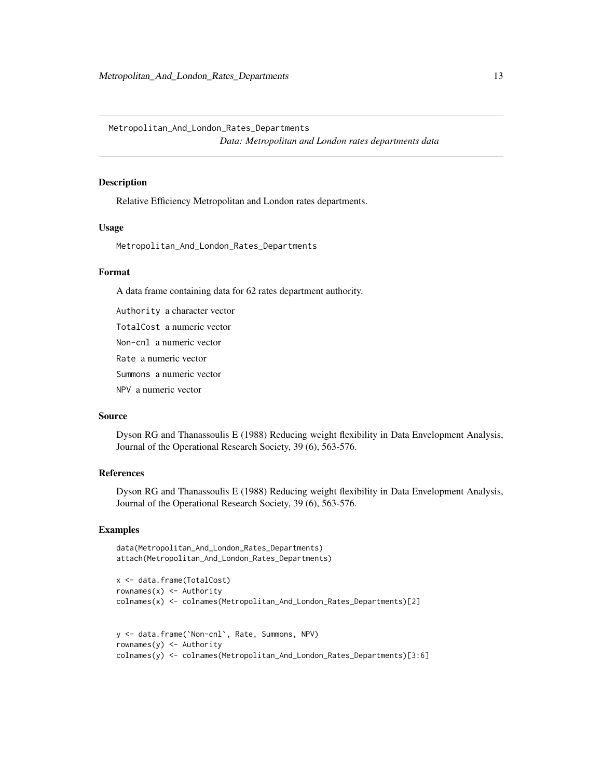<span id="page-12-0"></span>Metropolitan\_And\_London\_Rates\_Departments *Data: Metropolitan and London rates departments data*

#### Description

Relative Efficiency Metropolitan and London rates departments.

# Usage

Metropolitan\_And\_London\_Rates\_Departments

#### Format

A data frame containing data for 62 rates department authority.

Authority a character vector

TotalCost a numeric vector

Non-cnl a numeric vector

Rate a numeric vector

Summons a numeric vector

NPV a numeric vector

# Source

Dyson RG and Thanassoulis E (1988) Reducing weight flexibility in Data Envelopment Analysis, Journal of the Operational Research Society, 39 (6), 563-576.

#### References

Dyson RG and Thanassoulis E (1988) Reducing weight flexibility in Data Envelopment Analysis, Journal of the Operational Research Society, 39 (6), 563-576.

# Examples

```
data(Metropolitan_And_London_Rates_Departments)
attach(Metropolitan_And_London_Rates_Departments)
```

```
x <- data.frame(TotalCost)
rownames(x) \leq Authority
colnames(x) <- colnames(Metropolitan_And_London_Rates_Departments)[2]
y <- data.frame(`Non-cnl`, Rate, Summons, NPV)
```

```
rownames(y) \leq Authority
colnames(y) <- colnames(Metropolitan_And_London_Rates_Departments)[3:6]
```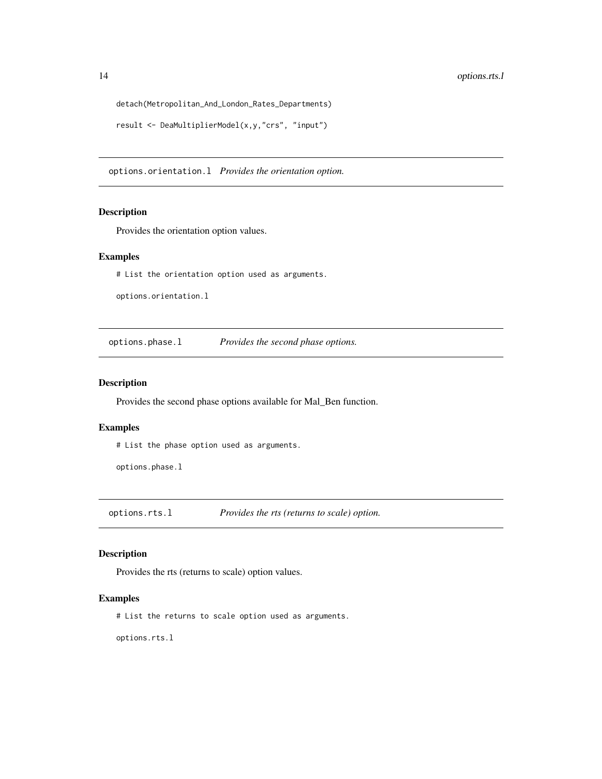```
detach(Metropolitan_And_London_Rates_Departments)
```

```
result <- DeaMultiplierModel(x,y,"crs", "input")
```
options.orientation.l *Provides the orientation option.*

# Description

Provides the orientation option values.

# Examples

# List the orientation option used as arguments.

options.orientation.l

options.phase.l *Provides the second phase options.*

# Description

Provides the second phase options available for Mal\_Ben function.

# Examples

# List the phase option used as arguments.

options.phase.l

options.rts.l *Provides the rts (returns to scale) option.*

# Description

Provides the rts (returns to scale) option values.

# Examples

# List the returns to scale option used as arguments.

options.rts.l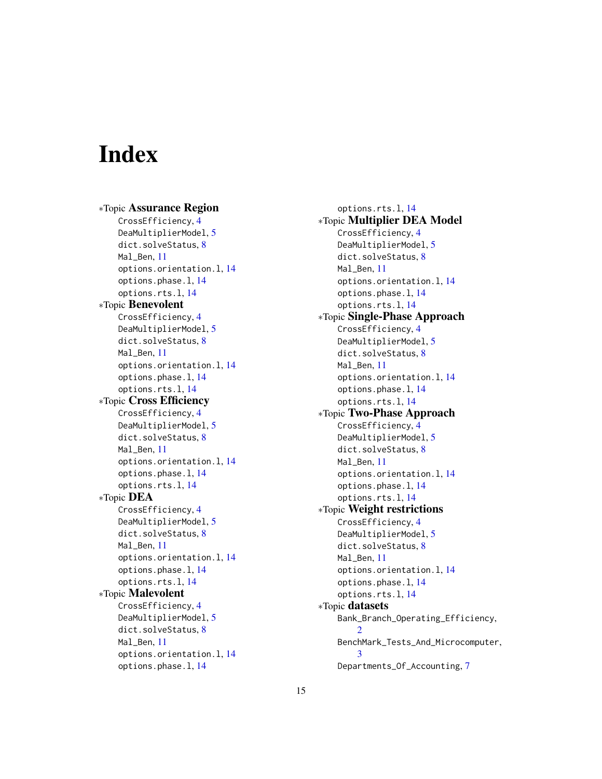# <span id="page-14-0"></span>**Index**

∗Topic Assurance Region CrossEfficiency, [4](#page-3-0) DeaMultiplierModel, [5](#page-4-0) dict.solveStatus, [8](#page-7-0) Mal Ben, [11](#page-10-0) options.orientation.l, [14](#page-13-0) options.phase.l, [14](#page-13-0) options.rts.l, [14](#page-13-0) ∗Topic Benevolent CrossEfficiency, [4](#page-3-0) DeaMultiplierModel, [5](#page-4-0) dict.solveStatus, [8](#page-7-0) Mal Ben. [11](#page-10-0) options.orientation.l, [14](#page-13-0) options.phase.l, [14](#page-13-0) options.rts.l, [14](#page-13-0) ∗Topic Cross Efficiency CrossEfficiency, [4](#page-3-0) DeaMultiplierModel, [5](#page-4-0) dict.solveStatus, [8](#page-7-0) Mal\_Ben, [11](#page-10-0) options.orientation.l, [14](#page-13-0) options.phase.l, [14](#page-13-0) options.rts.l, [14](#page-13-0) ∗Topic DEA CrossEfficiency, [4](#page-3-0) DeaMultiplierModel, [5](#page-4-0) dict.solveStatus, [8](#page-7-0) Mal Ben. [11](#page-10-0) options.orientation.l, [14](#page-13-0) options.phase.l, [14](#page-13-0) options.rts.l, [14](#page-13-0) ∗Topic Malevolent CrossEfficiency, [4](#page-3-0) DeaMultiplierModel, [5](#page-4-0) dict.solveStatus, [8](#page-7-0) Mal Ben, [11](#page-10-0) options.orientation.l, [14](#page-13-0) options.phase.l, [14](#page-13-0)

options.rts.l, [14](#page-13-0) ∗Topic Multiplier DEA Model CrossEfficiency, [4](#page-3-0) DeaMultiplierModel, [5](#page-4-0) dict.solveStatus, [8](#page-7-0) Mal\_Ben, [11](#page-10-0) options.orientation.l, [14](#page-13-0) options.phase.l, [14](#page-13-0) options.rts.l, [14](#page-13-0) ∗Topic Single-Phase Approach CrossEfficiency, [4](#page-3-0) DeaMultiplierModel, [5](#page-4-0) dict.solveStatus, [8](#page-7-0) Mal\_Ben, [11](#page-10-0) options.orientation.l, [14](#page-13-0) options.phase.l, [14](#page-13-0) options.rts.l, [14](#page-13-0) ∗Topic Two-Phase Approach CrossEfficiency, [4](#page-3-0) DeaMultiplierModel, [5](#page-4-0) dict.solveStatus, [8](#page-7-0) Mal Ben. [11](#page-10-0) options.orientation.l, [14](#page-13-0) options.phase.l, [14](#page-13-0) options.rts.l, [14](#page-13-0) ∗Topic Weight restrictions CrossEfficiency, [4](#page-3-0) DeaMultiplierModel, [5](#page-4-0) dict.solveStatus, [8](#page-7-0) Mal\_Ben, [11](#page-10-0) options.orientation.l, [14](#page-13-0) options.phase.l, [14](#page-13-0) options.rts.l, [14](#page-13-0) ∗Topic datasets Bank\_Branch\_Operating\_Efficiency,  $\overline{2}$  $\overline{2}$  $\overline{2}$ BenchMark\_Tests\_And\_Microcomputer, [3](#page-2-0) Departments\_Of\_Accounting, [7](#page-6-0)